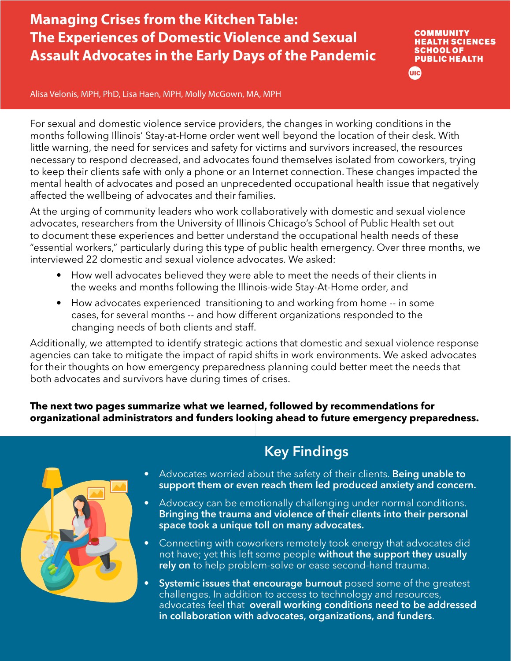### **Managing Crises from the Kitchen Table: The Experiences of Domestic Violence and Sexual Assault Advocates in the Early Days of the Pandemic**

**COMMUNITY HEALTH SCIENCES SCHOOL OF PUBLIC HEALTH UIC** 

Alisa Velonis, MPH, PhD, Lisa Haen, MPH, Molly McGown, MA, MPH

For sexual and domestic violence service providers, the changes in working conditions in the months following Illinois' Stay-at-Home order went well beyond the location of their desk. With little warning, the need for services and safety for victims and survivors increased, the resources necessary to respond decreased, and advocates found themselves isolated from coworkers, trying to keep their clients safe with only a phone or an Internet connection. These changes impacted the mental health of advocates and posed an unprecedented occupational health issue that negatively affected the wellbeing of advocates and their families.

At the urging of community leaders who work collaboratively with domestic and sexual violence advocates, researchers from the University of Illinois Chicago's School of Public Health set out to document these experiences and better understand the occupational health needs of these "essential workers," particularly during this type of public health emergency. Over three months, we interviewed 22 domestic and sexual violence advocates. We asked:

- How well advocates believed they were able to meet the needs of their clients in the weeks and months following the Illinois-wide Stay-At-Home order, and
- How advocates experienced transitioning to and working from home -- in some cases, for several months -- and how different organizations responded to the changing needs of both clients and staff.

Additionally, we attempted to identify strategic actions that domestic and sexual violence response agencies can take to mitigate the impact of rapid shifts in work environments. We asked advocates for their thoughts on how emergency preparedness planning could better meet the needs that both advocates and survivors have during times of crises.

**The next two pages summarize what we learned, followed by recommendations for organizational administrators and funders looking ahead to future emergency preparedness.**



#### **Key Findings**

- Advocates worried about the safety of their clients. **Being unable to support them or even reach them led produced anxiety and concern.**
- Advocacy can be emotionally challenging under normal conditions. **Bringing the trauma and violence of their clients into their personal space took a unique toll on many advocates.**
- Connecting with coworkers remotely took energy that advocates did not have; yet this left some people **without the support they usually rely on** to help problem-solve or ease second-hand trauma.
- **• Systemic issues that encourage burnout** posed some of the greatest challenges. In addition to access to technology and resources, advocates feel that **overall working conditions need to be addressed in collaboration with advocates, organizations, and funders**.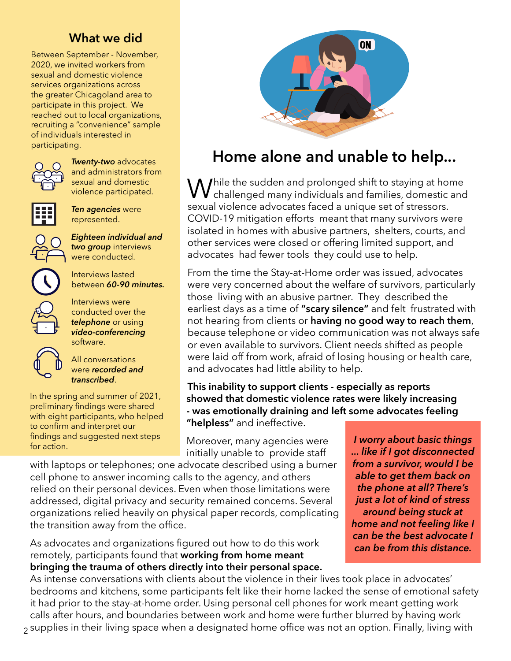#### **What we did**

Between September - November, 2020, we invited workers from sexual and domestic violence services organizations across the greater Chicagoland area to participate in this project. We reached out to local organizations, recruiting a "convenience" sample of individuals interested in participating.



*Twenty-two* advocates and administrators from sexual and domestic violence participated.



*Ten agencies* were represented.

*Eighteen individual and two group* interviews were conducted.



Interviews lasted between *60-90 minutes.*

Interviews were conducted over the *telephone* or using *video-conferencing*  software.



All conversations were *recorded and transcribed*.

In the spring and summer of 2021, preliminary findings were shared with eight participants, who helped to confirm and interpret our findings and suggested next steps



# **Home alone and unable to help...**

 $\rm M$ hile the sudden and prolonged shift to staying at home **V** challenged many individuals and families, domestic and sexual violence advocates faced a unique set of stressors. COVID-19 mitigation efforts meant that many survivors were isolated in homes with abusive partners, shelters, courts, and other services were closed or offering limited support, and advocates had fewer tools they could use to help.

From the time the Stay-at-Home order was issued, advocates were very concerned about the welfare of survivors, particularly those living with an abusive partner. They described the earliest days as a time of **"scary silence"** and felt frustrated with not hearing from clients or **having no good way to reach them**, because telephone or video communication was not always safe or even available to survivors. Client needs shifted as people were laid off from work, afraid of losing housing or health care, and advocates had little ability to help.

**This inability to support clients - especially as reports showed that domestic violence rates were likely increasing - was emotionally draining and left some advocates feeling "helpless"** and ineffective.

I maings and suggested next steps **Moreover, many agencies were** *I worry about basic things ion* action. initially unable to provide staff

with laptops or telephones; one advocate described using a burner cell phone to answer incoming calls to the agency, and others relied on their personal devices. Even when those limitations were addressed, digital privacy and security remained concerns. Several organizations relied heavily on physical paper records, complicating the transition away from the office.

As advocates and organizations figured out how to do this work remotely, participants found that **working from home meant bringing the trauma of others directly into their personal space.** *... like if I got disconnected from a survivor, would I be able to get them back on the phone at all? There's just a lot of kind of stress around being stuck at home and not feeling like I can be the best advocate I can be from this distance.*

As intense conversations with clients about the violence in their lives took place in advocates' bedrooms and kitchens, some participants felt like their home lacked the sense of emotional safety it had prior to the stay-at-home order. Using personal cell phones for work meant getting work calls after hours, and boundaries between work and home were further blurred by having work  $_{\rm 2}$  supplies in their living space when a designated home office was not an option. Finally, living with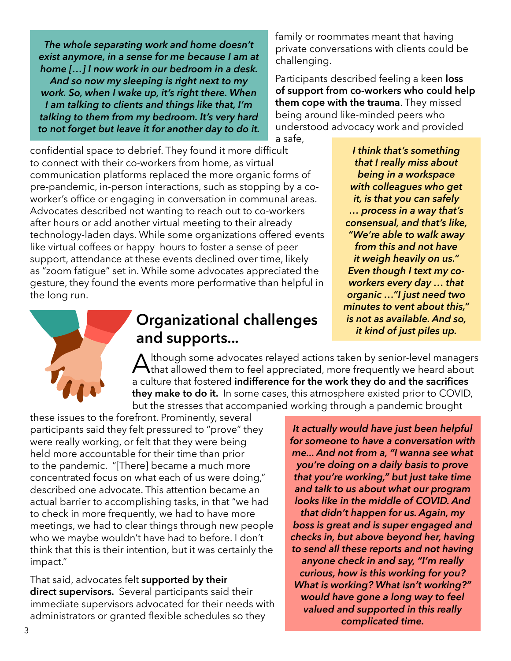*The whole separating work and home doesn't exist anymore, in a sense for me because I am at home […] I now work in our bedroom in a desk. And so now my sleeping is right next to my work. So, when I wake up, it's right there. When I am talking to clients and things like that, I'm talking to them from my bedroom. It's very hard to not forget but leave it for another day to do it.* family or roommates meant that having private conversations with clients could be challenging.

Participants described feeling a keen **loss of support from co-workers who could help them cope with the trauma**. They missed being around like-minded peers who understood advocacy work and provided

a safe,

confidential space to debrief. They found it more difficult to connect with their co-workers from home, as virtual communication platforms replaced the more organic forms of pre-pandemic, in-person interactions, such as stopping by a coworker's office or engaging in conversation in communal areas. Advocates described not wanting to reach out to co-workers after hours or add another virtual meeting to their already technology-laden days. While some organizations offered events like virtual coffees or happy hours to foster a sense of peer support, attendance at these events declined over time, likely as "zoom fatigue" set in. While some advocates appreciated the gesture, they found the events more performative than helpful in the long run.

*I think that's something that I really miss about being in a workspace with colleagues who get it, is that you can safely … process in a way that's consensual, and that's like, "We're able to walk away from this and not have it weigh heavily on us." Even though I text my coworkers every day … that organic …"I just need two minutes to vent about this," is not as available. And so, it kind of just piles up.*



## **Organizational challenges and supports...**

Although some advocates relayed actions taken by senior-level managers<br>that allowed them to feel appreciated, more frequently we heard about a culture that fostered **indifference for the work they do and the sacrifices they make to do it.** In some cases, this atmosphere existed prior to COVID, but the stresses that accompanied working through a pandemic brought

these issues to the forefront. Prominently, several participants said they felt pressured to "prove" they were really working, or felt that they were being held more accountable for their time than prior to the pandemic. "[There] became a much more concentrated focus on what each of us were doing," described one advocate. This attention became an actual barrier to accomplishing tasks, in that "we had to check in more frequently, we had to have more meetings, we had to clear things through new people who we maybe wouldn't have had to before. I don't think that this is their intention, but it was certainly the impact."

That said, advocates felt **supported by their direct supervisors.** Several participants said their immediate supervisors advocated for their needs with administrators or granted flexible schedules so they

*It actually would have just been helpful for someone to have a conversation with me... And not from a, "I wanna see what you're doing on a daily basis to prove that you're working," but just take time and talk to us about what our program looks like in the middle of COVID. And that didn't happen for us. Again, my boss is great and is super engaged and checks in, but above beyond her, having to send all these reports and not having anyone check in and say, "I'm really curious, how is this working for you? What is working? What isn't working?" would have gone a long way to feel valued and supported in this really complicated time.*